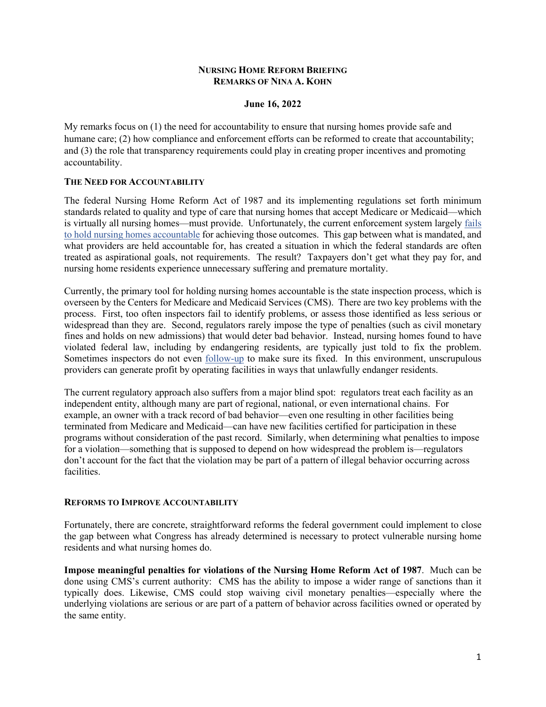## **NURSING HOME REFORM BRIEFING REMARKS OF NINA A. KOHN**

## **June 16, 2022**

My remarks focus on (1) the need for accountability to ensure that nursing homes provide safe and humane care; (2) how compliance and enforcement efforts can be reformed to create that accountability; and (3) the role that transparency requirements could play in creating proper incentives and promoting accountability.

## **THE NEED FOR ACCOUNTABILITY**

The federal Nursing Home Reform Act of 1987 and its implementing regulations set forth minimum standards related to quality and type of care that nursing homes that accept Medicare or Medicaid—which is virtually all nursing homes—must provide. Unfortunately, the current enforcement system largely [fails](https://www.law.georgetown.edu/georgetown-law-journal/wp-content/uploads/sites/26/2021/04/Kohn_Nursing-Homes-COVID-19-and-the-Consequences-of-Regulatory-Failure.pdf)  [to hold nursing homes accountable](https://www.law.georgetown.edu/georgetown-law-journal/wp-content/uploads/sites/26/2021/04/Kohn_Nursing-Homes-COVID-19-and-the-Consequences-of-Regulatory-Failure.pdf) for achieving those outcomes. This gap between what is mandated, and what providers are held accountable for, has created a situation in which the federal standards are often treated as aspirational goals, not requirements. The result? Taxpayers don't get what they pay for, and nursing home residents experience unnecessary suffering and premature mortality.

Currently, the primary tool for holding nursing homes accountable is the state inspection process, which is overseen by the Centers for Medicare and Medicaid Services (CMS). There are two key problems with the process. First, too often inspectors fail to identify problems, or assess those identified as less serious or widespread than they are. Second, regulators rarely impose the type of penalties (such as civil monetary fines and holds on new admissions) that would deter bad behavior. Instead, nursing homes found to have violated federal law, including by endangering residents, are typically just told to fix the problem. Sometimes inspectors do not even [follow-up](https://www.gao.gov/assets/gao-19-433.pdf) to make sure its fixed. In this environment, unscrupulous providers can generate profit by operating facilities in ways that unlawfully endanger residents.

The current regulatory approach also suffers from a major blind spot: regulators treat each facility as an independent entity, although many are part of regional, national, or even international chains. For example, an owner with a track record of bad behavior—even one resulting in other facilities being terminated from Medicare and Medicaid—can have new facilities certified for participation in these programs without consideration of the past record. Similarly, when determining what penalties to impose for a violation—something that is supposed to depend on how widespread the problem is—regulators don't account for the fact that the violation may be part of a pattern of illegal behavior occurring across facilities.

#### **REFORMS TO IMPROVE ACCOUNTABILITY**

Fortunately, there are concrete, straightforward reforms the federal government could implement to close the gap between what Congress has already determined is necessary to protect vulnerable nursing home residents and what nursing homes do.

**Impose meaningful penalties for violations of the Nursing Home Reform Act of 1987**. Much can be done using CMS's current authority: CMS has the ability to impose a wider range of sanctions than it typically does. Likewise, CMS could stop waiving civil monetary penalties—especially where the underlying violations are serious or are part of a pattern of behavior across facilities owned or operated by the same entity.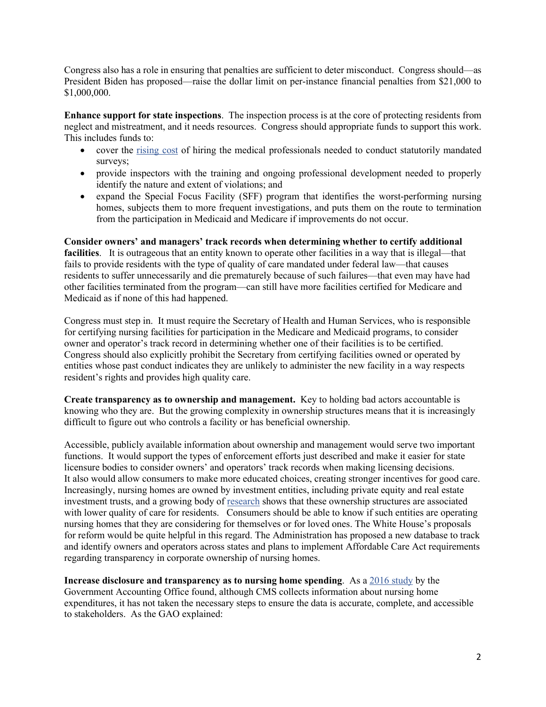Congress also has a role in ensuring that penalties are sufficient to deter misconduct. Congress should—as President Biden has proposed—raise the dollar limit on per-instance financial penalties from \$21,000 to \$1,000,000.

**Enhance support for state inspections**. The inspection process is at the core of protecting residents from neglect and mistreatment, and it needs resources. Congress should appropriate funds to support this work. This includes funds to:

- cover the [rising cost](https://www.cms.gov/files/document/fy2023-cms-congressional-justification-estimates-appropriations-committees.pdf) of hiring the medical professionals needed to conduct statutorily mandated surveys;
- provide inspectors with the training and ongoing professional development needed to properly identify the nature and extent of violations; and
- expand the Special Focus Facility (SFF) program that identifies the worst-performing nursing homes, subjects them to more frequent investigations, and puts them on the route to termination from the participation in Medicaid and Medicare if improvements do not occur.

**Consider owners' and managers' track records when determining whether to certify additional facilities**. It is outrageous that an entity known to operate other facilities in a way that is illegal—that fails to provide residents with the type of quality of care mandated under federal law—that causes residents to suffer unnecessarily and die prematurely because of such failures—that even may have had other facilities terminated from the program—can still have more facilities certified for Medicare and Medicaid as if none of this had happened.

Congress must step in. It must require the Secretary of Health and Human Services, who is responsible for certifying nursing facilities for participation in the Medicare and Medicaid programs, to consider owner and operator's track record in determining whether one of their facilities is to be certified. Congress should also explicitly prohibit the Secretary from certifying facilities owned or operated by entities whose past conduct indicates they are unlikely to administer the new facility in a way respects resident's rights and provides high quality care.

**Create transparency as to ownership and management.** Key to holding bad actors accountable is knowing who they are. But the growing complexity in ownership structures means that it is increasingly difficult to figure out who controls a facility or has beneficial ownership.

Accessible, publicly available information about ownership and management would serve two important functions. It would support the types of enforcement efforts just described and make it easier for state licensure bodies to consider owners' and operators' track records when making licensing decisions. It also would allow consumers to make more educated choices, creating stronger incentives for good care. Increasingly, nursing homes are owned by investment entities, including private equity and real estate investment trusts, and a growing body of [research](https://papers.ssrn.com/sol3/papers.cfm?abstract_id=3537612) shows that these ownership structures are associated with lower quality of care for residents. Consumers should be able to know if such entities are operating nursing homes that they are considering for themselves or for loved ones. The White House's proposals for reform would be quite helpful in this regard. The Administration has proposed a new database to track and identify owners and operators across states and plans to implement Affordable Care Act requirements regarding transparency in corporate ownership of nursing homes.

**Increase disclosure and transparency as to nursing home spending**. As a [2016 study](https://www.gao.gov/products/gao-16-700) by the Government Accounting Office found, although CMS collects information about nursing home expenditures, it has not taken the necessary steps to ensure the data is accurate, complete, and accessible to stakeholders. As the GAO explained: